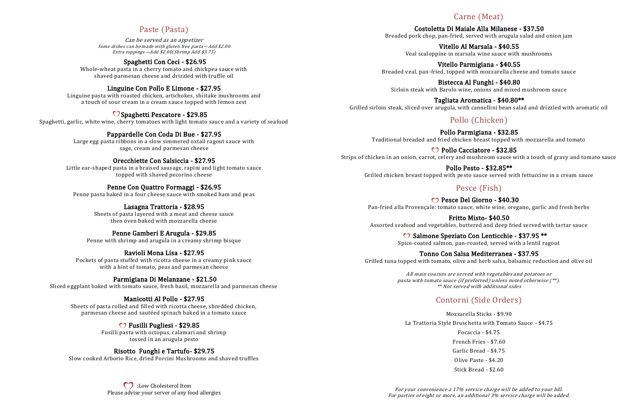## Paste (Pasta)

Can be served as an appetizer Some dishes can be made with gluten free pasta—Add \$2.00 Extra toppings—Add \$2.00(Shrimp Add \$3.75)

### Spaghetti Con Ceci - \$26.95

Whole-wheat pasta in a cherry tomato and chickpea sauce with shaved parmesan cheese and drizzled with truffle oil

### Linguine Con Pollo E Limone - \$27.95

Linguine pasta with roasted chicken, artichokes, shiitake mushrooms and a touch of sour cream in a cream sauce topped with lemon zest

### $\heartsuit$  Spaghetti Pescatore - \$29.85

Spaghetti, garlic, white wine, cherry tomatoes with light tomato sauce and a variety of seafood

### Pappardelle Con Coda Di Bue - \$27.95

Large egg pasta ribbons in a slow simmered oxtail ragout sauce with sage, cream and parmesan cheese

#### Orecchiette Con Salsiccia - \$27.95

Little ear-shaped pasta in a braised sausage, rapini and light tomato sauce topped with shaved pecorino cheese

### Penne Con Quattro Formaggi - \$26.95

Penne pasta baked in a four cheese sauce with smoked ham and peas

**CO**: Low Cholesterol Item Please advise your server of any food allergies

#### Lasagna Trattoria - \$28.95

Sheets of pasta layered with a meat and cheese sauce then oven baked with mozzarella cheese

#### Penne Gamberi E Arugula - \$29.85

Penne with shrimp and arugula in a creamy shrimp bisque

#### Ravioli Mona Lisa - \$27.95

Pockets of pasta stuffed with ricotta cheese in a creamy pink sauce with a hint of tomato, peas and parmesan cheese

C Pollo Cacciatore - \$32.85 Strips of chicken in an onion, carrot, celery and mushroom sauce with a touch of gravy and tomato sauce

#### Parmigiana Di Melanzane - \$21.50

Sliced eggplant baked with tomato sauce, fresh basil, mozzarella and parmesan cheese

C<sub>2</sub> Pesce Del Giorno - \$40.30 Pan-fried alla Provençale: tomato sauce, white wine, oregano, garlic and fresh herbs

#### Manicotti Al Pollo - \$27.95

Sheets of pasta rolled and filled with ricotta cheese, shredded chicken, parmesan cheese and sautéed spinach baked in a tomato sauce

C Salmone Speziato Con Lenticchie - \$37.95 \*\* Spice-coated salmon, pan-roasted, served with a lentil ragout

#### Fusilli Pugliesi - \$29.85

Fusilli pasta with octopus, calamari and shrimp tossed in an arugula pesto

#### Risotto Funghi e Tartufo- \$29.75

Slow cooked Arborio Rice, dried Porcini Mushrooms and shaved truffles

## Carne (Meat)

Costoletta Di Maiale Alla Milanese - \$37.50 Breaded pork chop, pan-fried, served with arugula salad and onion jam

Vitello Al Marsala - \$40.55 Veal scaloppine in marsala wine sauce with mushrooms

Vitello Parmigiana - \$40.55 Breaded veal, pan-fried, topped with mozzarella cheese and tomato sauce

Bistecca Al Funghi - \$40.80 Sirloin steak with Barolo wine, onions and mixed mushroom sauce

Tagliata Aromatica - \$40.80\*\* Grilled sirloin steak, sliced over arugula, with cannellini bean salad and drizzled with aromatic oil

# Pollo (Chicken)

Pollo Parmigiana - \$32.85 Traditional breaded and fried chicken breast topped with mozzarella and tomato

Pollo Pesto - \$32.85\*\* Grilled chicken breast topped with pesto sauce served with fettuccine in a cream sauce

## Pesce (Fish)

Fritto Misto- \$40.50 Assorted seafood and vegetables, buttered and deep fried served with tartar sauce

# Tonno Con Salsa Mediterranea - \$37.95

Grilled tuna topped with tomato, olive and herb salsa, balsamic reduction and olive oil

All main courses are served with vegetables and potatoes or pasta with tomato sauce (if preferred) unless noted otherwise (\*\*). \*\* Not served with additional sides

# Contorni (Side Orders)

Mozzarella Sticks - \$9.90 La Trattoria Style Bruschetta with Tomato Sauce - \$4.75 Focaccia - \$4.75 French Fries - \$7.60 Garlic Bread - \$4.75 Olive Paste - \$4.20 Stick Bread - \$2.60

For your convenience a 17% service charge will be added to your bill. For parties of eight or more, an additional 3% service charge will be added.